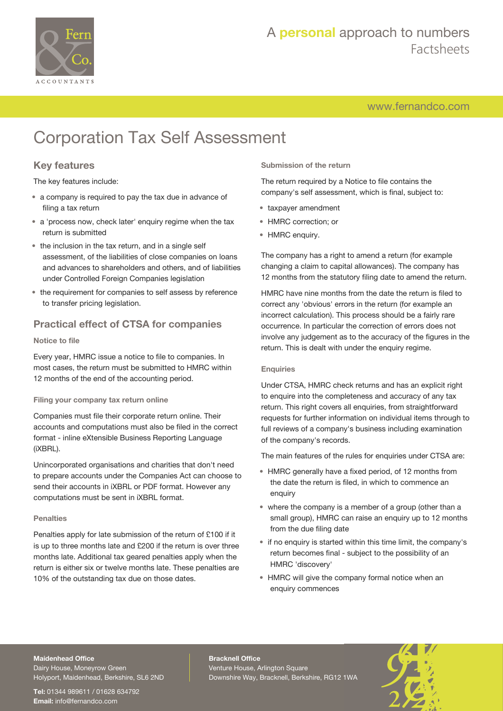

# A **personal** approach to numbers Factsheets

[www.fernandco.com](http://www.fernandco.com)

# Corporation Tax Self Assessment

## **Key features**

The key features include:

- a company is required to pay the tax due in advance of filing a tax return
- a 'process now, check later' enquiry regime when the tax return is submitted
- the inclusion in the tax return, and in a single self assessment, of the liabilities of close companies on loans and advances to shareholders and others, and of liabilities under Controlled Foreign Companies legislation
- the requirement for companies to self assess by reference to transfer pricing legislation.

### **Practical effect of CTSA for companies**

### **Notice to file**

Every year, HMRC issue a notice to file to companies. In most cases, the return must be submitted to HMRC within 12 months of the end of the accounting period.

### **Filing your company tax return online**

Companies must file their corporate return online. Their accounts and computations must also be filed in the correct format - inline eXtensible Business Reporting Language (iXBRL).

Unincorporated organisations and charities that don't need to prepare accounts under the Companies Act can choose to send their accounts in iXBRL or PDF format. However any computations must be sent in iXBRL format.

### **Penalties**

Penalties apply for late submission of the return of £100 if it is up to three months late and £200 if the return is over three months late. Additional tax geared penalties apply when the return is either six or twelve months late. These penalties are 10% of the outstanding tax due on those dates.

**Submission of the return**

The return required by a Notice to file contains the company's self assessment, which is final, subject to:

- taxpayer amendment
- HMRC correction; or
- HMRC enquiry.

The company has a right to amend a return (for example changing a claim to capital allowances). The company has 12 months from the statutory filing date to amend the return.

HMRC have nine months from the date the return is filed to correct any 'obvious' errors in the return (for example an incorrect calculation). This process should be a fairly rare occurrence. In particular the correction of errors does not involve any judgement as to the accuracy of the figures in the return. This is dealt with under the enquiry regime.

#### **Enquiries**

Under CTSA, HMRC check returns and has an explicit right to enquire into the completeness and accuracy of any tax return. This right covers all enquiries, from straightforward requests for further information on individual items through to full reviews of a company's business including examination of the company's records.

The main features of the rules for enquiries under CTSA are:

- HMRC generally have a fixed period, of 12 months from the date the return is filed, in which to commence an enquiry
- where the company is a member of a group (other than a small group), HMRC can raise an enquiry up to 12 months from the due filing date
- if no enquiry is started within this time limit, the company's return becomes final - subject to the possibility of an HMRC 'discovery'
- HMRC will give the company formal notice when an enquiry commences

### **Maidenhead Office**

Dairy House, Moneyrow Green Holyport, Maidenhead, Berkshire, SL6 2ND

**Tel:** 01344 989611 / 01628 634792 **Email:** [info@fernandco.com](mailto:info@fernandco.com)

**Bracknell Office** Venture House, Arlington Square Downshire Way, Bracknell, Berkshire, RG12 1WA